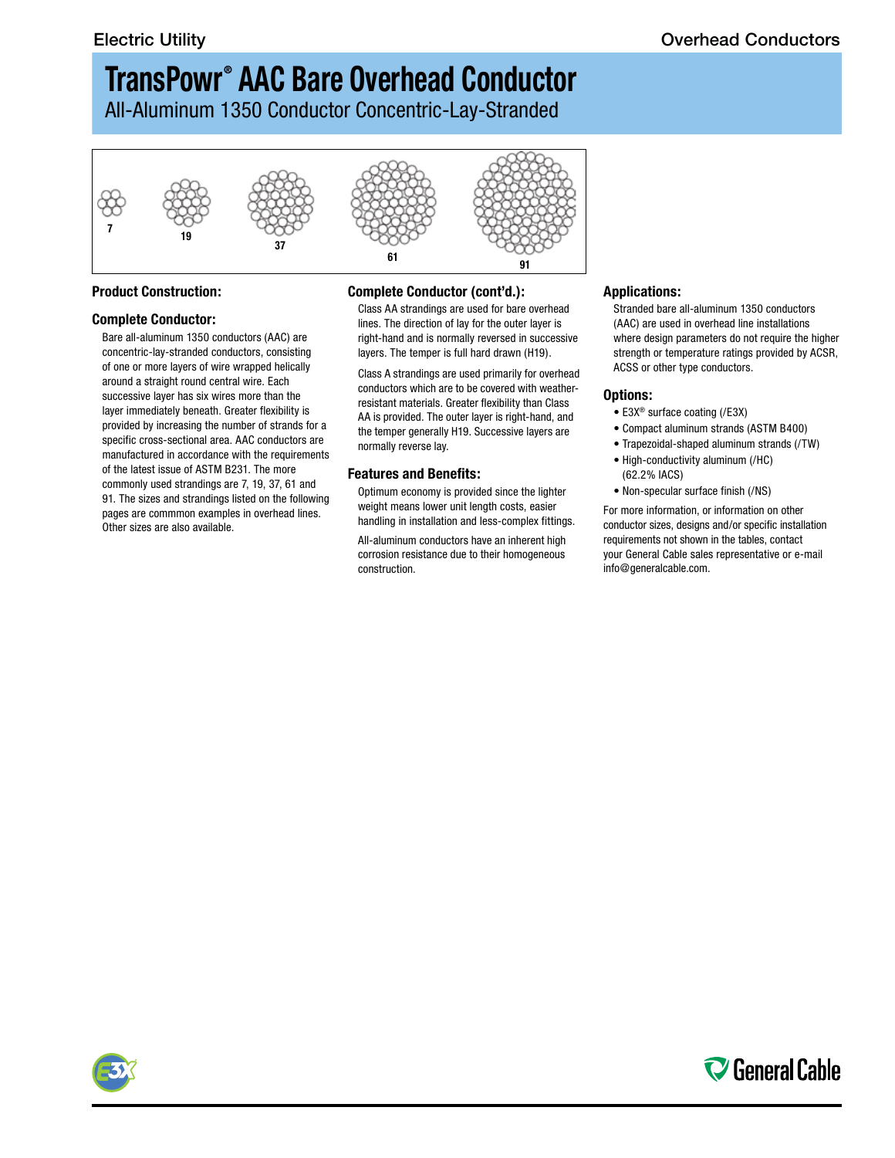# **TransPowr ® AAC Bare Overhead Conductor**

All-Aluminum 1350 Conductor Concentric-Lay-Stranded



#### **Product Construction:**

#### **Complete Conductor:**

Bare all-aluminum 1350 conductors (AAC) are concentric-lay-stranded conductors, consisting of one or more layers of wire wrapped helically around a straight round central wire. Each successive layer has six wires more than the layer immediately beneath. Greater flexibility is provided by increasing the number of strands for a specific cross-sectional area. AAC conductors are manufactured in accordance with the requirements of the latest issue of ASTM B231. The more commonly used strandings are 7, 19, 37, 61 and 91. The sizes and strandings listed on the following pages are commmon examples in overhead lines. Other sizes are also available.

#### **Complete Conductor (cont'd.):**

Class AA strandings are used for bare overhead lines. The direction of lay for the outer layer is right-hand and is normally reversed in successive layers. The temper is full hard drawn (H19).

Class A strandings are used primarily for overhead conductors which are to be covered with weatherresistant materials. Greater flexibility than Class AA is provided. The outer layer is right-hand, and the temper generally H19. Successive layers are normally reverse lay.

#### **Features and Benefits:**

Optimum economy is provided since the lighter weight means lower unit length costs, easier handling in installation and less-complex fittings.

All-aluminum conductors have an inherent high corrosion resistance due to their homogeneous construction.

#### **Applications:**

Stranded bare all-aluminum 1350 conductors (AAC) are used in overhead line installations where design parameters do not require the higher strength or temperature ratings provided by ACSR, ACSS or other type conductors.

#### **Options:**

- E3X® surface coating (/E3X)
- Compact aluminum strands (ASTM B400)
- Trapezoidal-shaped aluminum strands (/TW)
- High-conductivity aluminum (/HC) (62.2% IACS)
- Non-specular surface finish (/NS)

For more information, or information on other conductor sizes, designs and/or specific installation requirements not shown in the tables, contact your General Cable sales representative or e-mail info@generalcable.com.



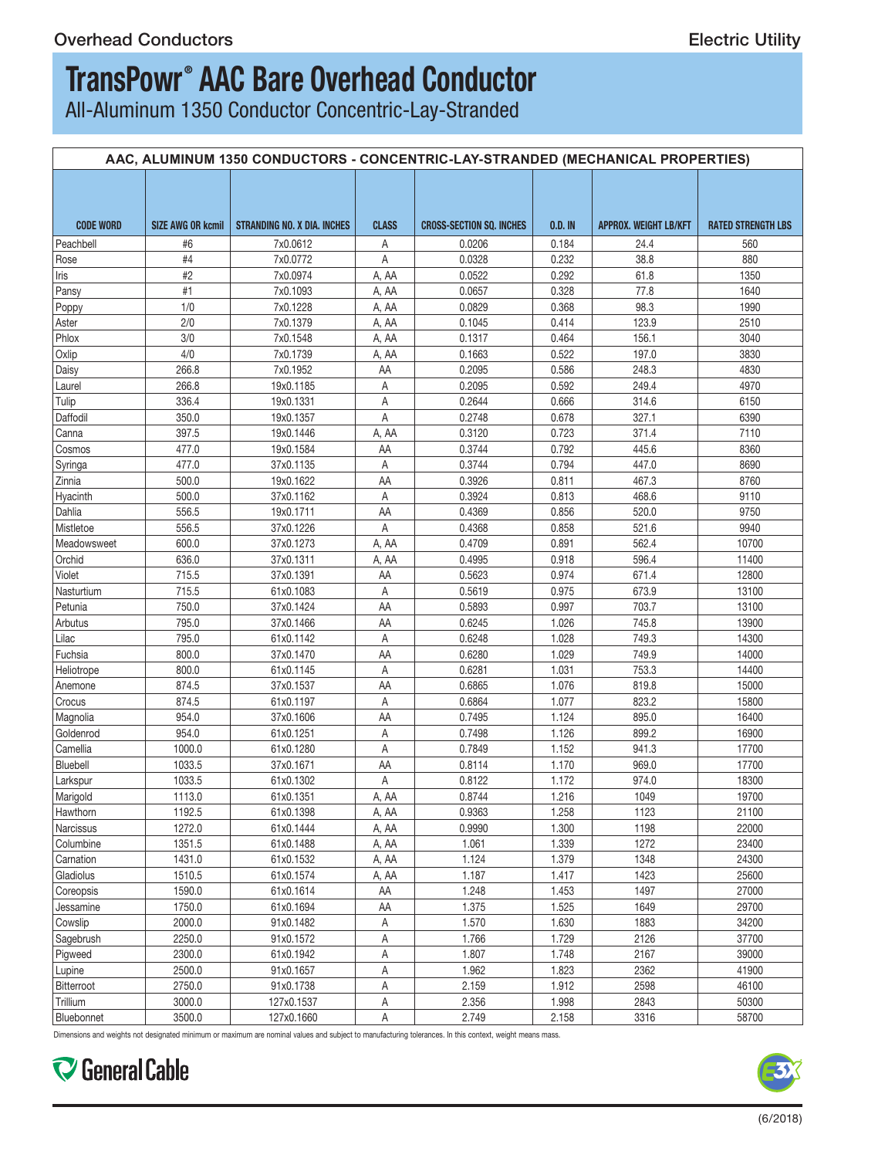## **TransPowr ® AAC Bare Overhead Conductor**

All-Aluminum 1350 Conductor Concentric-Lay-Stranded

|                  |        | AAC, ALUMINUM 1350 CONDUCTORS - CONCENTRIC-LAY-STRANDED (MECHANICAL PROPERTIES) |              |                                 |         |                       |                           |
|------------------|--------|---------------------------------------------------------------------------------|--------------|---------------------------------|---------|-----------------------|---------------------------|
| <b>CODE WORD</b> |        | SIZE AWG OR kcmil   STRANDING NO. X DIA. INCHES                                 | <b>CLASS</b> | <b>CROSS-SECTION SQ. INCHES</b> | 0.D. IN | APPROX. WEIGHT LB/KFT | <b>RATED STRENGTH LBS</b> |
| Peachbell        | #6     | 7x0.0612                                                                        | A            | 0.0206                          | 0.184   | 24.4                  | 560                       |
| Rose             | #4     | 7x0.0772                                                                        | A            | 0.0328                          | 0.232   | 38.8                  | 880                       |
| Iris             | #2     | 7x0.0974                                                                        | A, AA        | 0.0522                          | 0.292   | 61.8                  | 1350                      |
| Pansy            | #1     | 7x0.1093                                                                        | A, AA        | 0.0657                          | 0.328   | 77.8                  | 1640                      |
|                  | 1/0    | 7x0.1228                                                                        | A, AA        | 0.0829                          | 0.368   | 98.3                  | 1990                      |
| Poppy<br>Aster   | 2/0    | 7x0.1379                                                                        | A, AA        | 0.1045                          | 0.414   | 123.9                 | 2510                      |
| Phlox            |        | 7x0.1548                                                                        |              | 0.1317                          | 0.464   | 156.1                 | 3040                      |
|                  | 3/0    |                                                                                 | A, AA        |                                 |         |                       |                           |
| Oxlip            | 4/0    | 7x0.1739                                                                        | A, AA        | 0.1663                          | 0.522   | 197.0                 | 3830                      |
| Daisy            | 266.8  | 7x0.1952                                                                        | AA           | 0.2095                          | 0.586   | 248.3                 | 4830                      |
| Laurel           | 266.8  | 19x0.1185                                                                       | A            | 0.2095                          | 0.592   | 249.4                 | 4970                      |
| Tulip            | 336.4  | 19x0.1331                                                                       | A            | 0.2644                          | 0.666   | 314.6                 | 6150                      |
| Daffodil         | 350.0  | 19x0.1357                                                                       | A            | 0.2748                          | 0.678   | 327.1                 | 6390                      |
| Canna            | 397.5  | 19x0.1446                                                                       | A, AA        | 0.3120                          | 0.723   | 371.4                 | 7110                      |
| Cosmos           | 477.0  | 19x0.1584                                                                       | AA           | 0.3744                          | 0.792   | 445.6                 | 8360                      |
| Syringa          | 477.0  | 37x0.1135                                                                       | A            | 0.3744                          | 0.794   | 447.0                 | 8690                      |
| Zinnia           | 500.0  | 19x0.1622                                                                       | AA           | 0.3926                          | 0.811   | 467.3                 | 8760                      |
| Hyacinth         | 500.0  | 37x0.1162                                                                       | A            | 0.3924                          | 0.813   | 468.6                 | 9110                      |
| Dahlia           | 556.5  | 19x0.1711                                                                       | AA           | 0.4369                          | 0.856   | 520.0                 | 9750                      |
| Mistletoe        | 556.5  | 37x0.1226                                                                       | $\mathsf{A}$ | 0.4368                          | 0.858   | 521.6                 | 9940                      |
| Meadowsweet      | 600.0  | 37x0.1273                                                                       | A, AA        | 0.4709                          | 0.891   | 562.4                 | 10700                     |
| Orchid           | 636.0  | 37x0.1311                                                                       | A, AA        | 0.4995                          | 0.918   | 596.4                 | 11400                     |
| Violet           | 715.5  | 37x0.1391                                                                       | AA           | 0.5623                          | 0.974   | 671.4                 | 12800                     |
|                  |        |                                                                                 |              |                                 |         |                       |                           |
| Nasturtium       | 715.5  | 61x0.1083                                                                       | A            | 0.5619                          | 0.975   | 673.9                 | 13100                     |
| Petunia          | 750.0  | 37x0.1424                                                                       | AA           | 0.5893                          | 0.997   | 703.7                 | 13100                     |
| Arbutus          | 795.0  | 37x0.1466                                                                       | AA           | 0.6245                          | 1.026   | 745.8                 | 13900                     |
| Lilac            | 795.0  | 61x0.1142                                                                       | A            | 0.6248                          | 1.028   | 749.3                 | 14300                     |
| Fuchsia          | 800.0  | 37x0.1470                                                                       | AA           | 0.6280                          | 1.029   | 749.9                 | 14000                     |
| Heliotrope       | 800.0  | 61x0.1145                                                                       | A            | 0.6281                          | 1.031   | 753.3                 | 14400                     |
| Anemone          | 874.5  | 37x0.1537                                                                       | AA           | 0.6865                          | 1.076   | 819.8                 | 15000                     |
| <b>Crocus</b>    | 874.5  | 61x0.1197                                                                       | A            | 0.6864                          | 1.077   | 823.2                 | 15800                     |
| Magnolia         | 954.0  | 37x0.1606                                                                       | AA           | 0.7495                          | 1.124   | 895.0                 | 16400                     |
| Goldenrod        | 954.0  | 61x0.1251                                                                       | A            | 0.7498                          | 1.126   | 899.2                 | 16900                     |
| Camellia         | 1000.0 | 61x0.1280                                                                       | A            | 0.7849                          | 1.152   | 941.3                 | 17700                     |
| Bluebell         | 1033.5 | 37x0.1671                                                                       | AA           | 0.8114                          | 1.170   | 969.0                 | 17700                     |
|                  | 1033.5 | 61x0.1302                                                                       | A            | 0.8122                          | 1.172   | 974.0                 | 18300                     |
| Larkspur         | 1113.0 | 61x0.1351                                                                       | A, AA        | 0.8744                          | 1.216   | 1049                  | 19700                     |
| Marigold         |        |                                                                                 |              |                                 |         |                       |                           |
| Hawthorn         | 1192.5 | 61x0.1398                                                                       | A, AA        | 0.9363                          | 1.258   | 1123                  | 21100                     |
| Narcissus        | 1272.0 | 61x0.1444                                                                       | A, AA        | 0.9990                          | 1.300   | 1198                  | 22000                     |
| Columbine        | 1351.5 | 61x0.1488                                                                       | A, AA        | 1.061                           | 1.339   | 1272                  | 23400                     |
| Carnation        | 1431.0 | 61x0.1532                                                                       | A, AA        | 1.124                           | 1.379   | 1348                  | 24300                     |
| Gladiolus        | 1510.5 | 61x0.1574                                                                       | A, AA        | 1.187                           | 1.417   | 1423                  | 25600                     |
| Coreopsis        | 1590.0 | 61x0.1614                                                                       | AA           | 1.248                           | 1.453   | 1497                  | 27000                     |
| Jessamine        | 1750.0 | 61x0.1694                                                                       | AA           | 1.375                           | 1.525   | 1649                  | 29700                     |
| Cowslip          | 2000.0 | 91x0.1482                                                                       | $\mathsf{A}$ | 1.570                           | 1.630   | 1883                  | 34200                     |
| Sagebrush        | 2250.0 | 91x0.1572                                                                       | A            | 1.766                           | 1.729   | 2126                  | 37700                     |
| Pigweed          | 2300.0 | 61x0.1942                                                                       | A            | 1.807                           | 1.748   | 2167                  | 39000                     |
|                  | 2500.0 | 91x0.1657                                                                       |              | 1.962                           | 1.823   | 2362                  | 41900                     |
| Lupine           |        |                                                                                 | A            |                                 |         |                       |                           |
| Bitterroot       | 2750.0 | 91x0.1738                                                                       | A            | 2.159                           | 1.912   | 2598                  | 46100                     |
| Trillium         | 3000.0 | 127x0.1537                                                                      | $\mathsf{A}$ | 2.356                           | 1.998   | 2843                  | 50300                     |
| Bluebonnet       | 3500.0 | 127x0.1660                                                                      | A            | 2.749                           | 2.158   | 3316                  | 58700                     |

Dimensions and weights not designated minimum or maximum are nominal values and subject to manufacturing tolerances. In this context, weight means mass.

General Cable